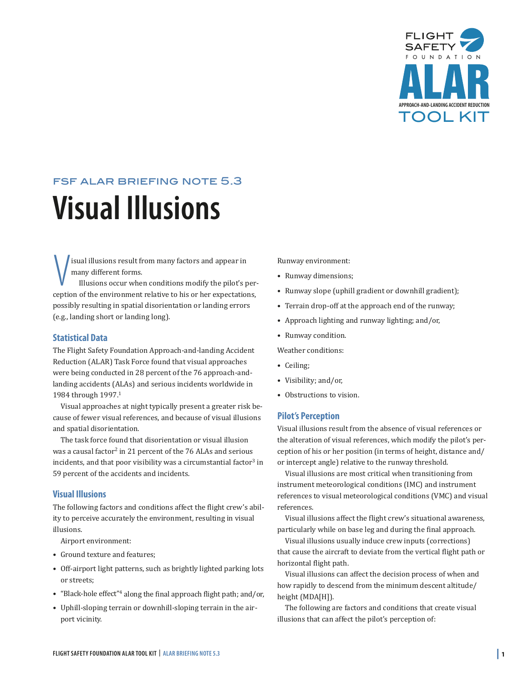

# <span id="page-0-0"></span>fsf alar briefing note 5.3 **Visual Illusions**

isual illusions result from many factors and appear in many different forms.

 $\begin{cases} \text{isual illusions result from many factors and appear in} \\ \text{many different forms.} \\ \text{Illusions occur when conditions modify the pilot's perception of the environment relative to his or her expectations,} \end{cases}$ Illusions occur when conditions modify the pilot's perpossibly resulting in spatial disorientation or landing errors (e.g., landing short or landing long).

## **Statistical Data**

The Flight Safety Foundation Approach-and-landing Accident Reduction (ALAR) Task Force found that visual approaches were being conducted in 28 percent of the 76 approach-andlanding accidents (ALAs) and serious incidents worldwide in 1984 through 1997.1

Visual approaches at night typically present a greater risk because of fewer visual references, and because of visual illusions and spatial disorientation.

The task force found that disorientation or visual illusion was a causal factor<sup>2</sup> in 21 percent of the 76 ALAs and serious incidents, and that poor visibility was a circumstantial factor $3$  in 59 percent of the accidents and incidents.

# **Visual Illusions**

The following factors and conditions affect the flight crew's ability to perceive accurately the environment, resulting in visual illusions.

Airport environment:

- Ground texture and features;
- Off-airport light patterns, such as brightly lighted parking lots or streets;
- "Black-hole effect"<sup>4</sup> along the final approach flight path; and/or,
- Uphill-sloping terrain or downhill-sloping terrain in the airport vicinity.

Runway environment:

- Runway dimensions;
- Runway slope (uphill gradient or downhill gradient);
- Terrain drop-off at the approach end of the runway;
- Approach lighting and runway lighting; and/or,
- • Runway condition.

Weather conditions:

- Ceiling;
- • Visibility; and/or,
- Obstructions to vision.

#### **Pilot's Perception**

Visual illusions result from the absence of visual references or the alteration of visual references, which modify the pilot's perception of his or her position (in terms of height, distance and/ or intercept angle) relative to the runway threshold.

Visual illusions are most critical when transitioning from instrument meteorological conditions (IMC) and instrument references to visual meteorological conditions (VMC) and visual references.

Visual illusions affect the flight crew's situational awareness, particularly while on base leg and during the final approach.

Visual illusions usually induce crew inputs (corrections) that cause the aircraft to deviate from the vertical flight path or horizontal flight path.

Visual illusions can affect the decision process of when and how rapidly to descend from the minimum descent altitude/ height (MDA[H]).

The following are factors and conditions that create visual illusions that can affect the pilot's perception of: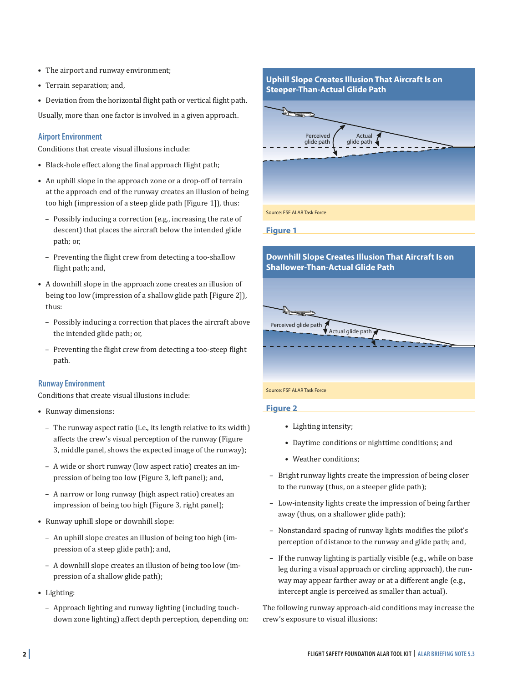- <span id="page-1-0"></span>• The airport and runway environment;
- • Terrain separation; and,
- • Deviation from the horizontal flight path or vertical flight path.

Usually, more than one factor is involved in a given approach.

# **Airport Environment**

Conditions that create visual illusions include:

- • Black-hole effect along the final approach flight path;
- • An uphill slope in the approach zone or a drop-off of terrain at the approach end of the runway creates an illusion of being too high (impression of a steep glide path [Figure 1]), thus:
	- Possibly inducing a correction (e.g., increasing the rate of descent) that places the aircraft below the intended glide path; or,
	- Preventing the flight crew from detecting a too-shallow flight path; and,
- • A downhill slope in the approach zone creates an illusion of being too low (impression of a shallow glide path [Figure 2]), thus:
	- Possibly inducing a correction that places the aircraft above the intended glide path; or,
	- Preventing the flight crew from detecting a too-steep flight path.

# **Runway Environment**

Conditions that create visual illusions include:

- • Runway dimensions:
	- The runway aspect ratio (i.e., its length relative to its width) affects the crew's visual perception of the runway (Figure 3, middle panel, shows the expected image of the runway);
	- A wide or short runway (low aspect ratio) creates an impression of being too low (Figure 3, left panel); and,
	- A narrow or long runway (high aspect ratio) creates an impression of being too high (Figure 3, right panel);
- • Runway uphill slope or downhill slope:
	- An uphill slope creates an illusion of being too high (impression of a steep glide path); and,
	- A downhill slope creates an illusion of being too low (impression of a shallow glide path);
- Lighting:
	- Approach lighting and runway lighting (including touchdown zone lighting) affect depth perception, depending on:

# **Uphill Slope Creates Illusion That Aircraft Is on Steeper-Than-Actual Glide Path**



**Figure 1**

# **Downhill Slope Creates Illusion That Aircraft Is on Shallower-Than-Actual Glide Path** FREE Perceived glide path<br>
Actual glide path

Source: FSF ALAR Task Force

# **Figure 2**

- • Lighting intensity;
- • Daytime conditions or nighttime conditions; and
- Weather conditions;
- Bright runway lights create the impression of being closer to the runway (thus, on a steeper glide path);
- Low-intensity lights create the impression of being farther away (thus, on a shallower glide path);
- Nonstandard spacing of runway lights modifies the pilot's perception of distance to the runway and glide path; and,
- If the runway lighting is partially visible (e.g., while on base leg during a visual approach or circling approach), the runway may appear farther away or at a different angle (e.g., intercept angle is perceived as smaller than actual).

The following runway approach-aid conditions may increase the crew's exposure to visual illusions: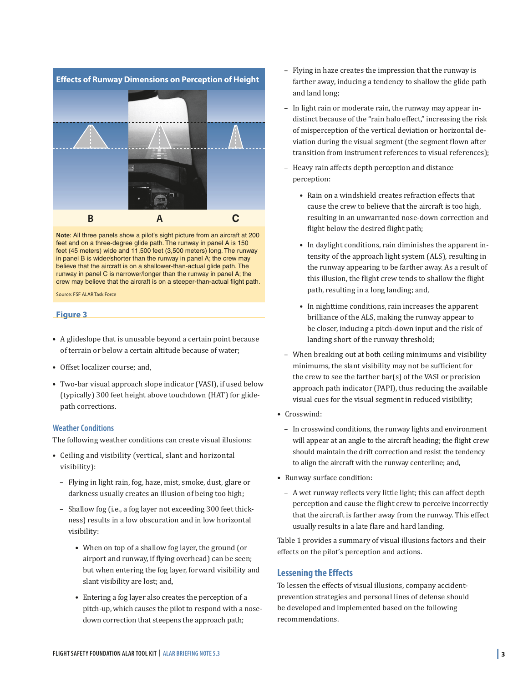

**Note**: All three panels show a pilot's sight picture from an aircraft at 200 feet and on a three-degree glide path. The runway in panel A is 150 feet (45 meters) wide and 11,500 feet (3,500 meters) long. The runway in panel B is wider/shorter than the runway in panel A; the crew may believe that the aircraft is on a shallower-than-actual glide path. The runway in panel C is narrower/longer than the runway in panel A; the crew may believe that the aircraft is on a steeper-than-actual flight path.

Source: FSF ALAR Task Force

#### **Figure 3**

- A glideslope that is unusable beyond a certain point because of terrain or below a certain altitude because of water;
- Offset localizer course; and,
- Two-bar visual approach slope indicator (VASI), if used below (typically) 300 feet height above touchdown (HAT) for glidepath corrections.

#### **Weather Conditions**

The following weather conditions can create visual illusions:

- • Ceiling and visibility (vertical, slant and horizontal visibility):
	- Flying in light rain, fog, haze, mist, smoke, dust, glare or darkness usually creates an illusion of being too high;
	- Shallow fog (i.e., a fog layer not exceeding 300 feet thickness) results in a low obscuration and in low horizontal visibility:
		- When on top of a shallow fog layer, the ground (or airport and runway, if flying overhead) can be seen; but when entering the fog layer, forward visibility and slant visibility are lost; and,
		- Entering a fog layer also creates the perception of a pitch-up, which causes the pilot to respond with a nosedown correction that steepens the approach path;
- Flying in haze creates the impression that the runway is farther away, inducing a tendency to shallow the glide path and land long;
- In light rain or moderate rain, the runway may appear indistinct because of the "rain halo effect," increasing the risk of misperception of the vertical deviation or horizontal deviation during the visual segment (the segment flown after transition from instrument references to visual references);
- Heavy rain affects depth perception and distance perception:
	- Rain on a windshield creates refraction effects that cause the crew to believe that the aircraft is too high, resulting in an unwarranted nose-down correction and flight below the desired flight path;
	- In daylight conditions, rain diminishes the apparent intensity of the approach light system (ALS), resulting in the runway appearing to be farther away. As a result of this illusion, the flight crew tends to shallow the flight path, resulting in a long landing; and,
	- In nighttime conditions, rain increases the apparent brilliance of the ALS, making the runway appear to be closer, inducing a pitch-down input and the risk of landing short of the runway threshold;
- When breaking out at both ceiling minimums and visibility minimums, the slant visibility may not be sufficient for the crew to see the farther bar(s) of the VASI or precision approach path indicator (PAPI), thus reducing the available visual cues for the visual segment in reduced visibility;
- Crosswind:
	- In crosswind conditions, the runway lights and environment will appear at an angle to the aircraft heading; the flight crew should maintain the drift correction and resist the tendency to align the aircraft with the runway centerline; and,
- Runway surface condition:
	- A wet runway reflects very little light; this can affect depth perception and cause the flight crew to perceive incorrectly that the aircraft is farther away from the runway. This effect usually results in a late flare and hard landing.

Table 1 provides a summary of visual illusions factors and their effects on the pilot's perception and actions.

# **Lessening the Effects**

To lessen the effects of visual illusions, company accidentprevention strategies and personal lines of defense should be developed and implemented based on the following recommendations.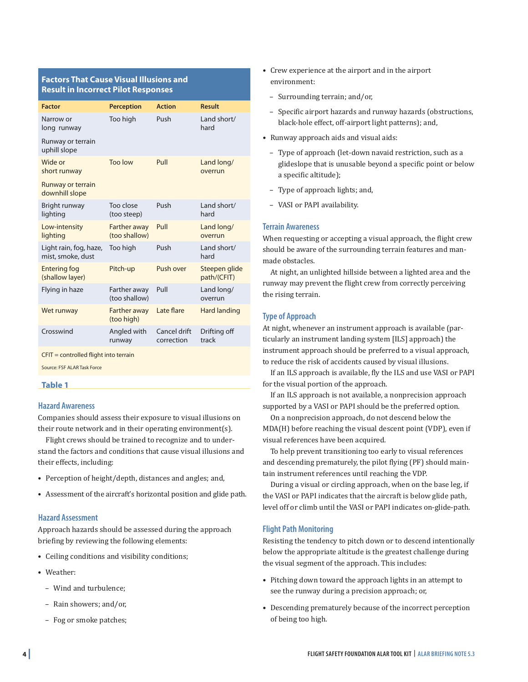# **Factors That Cause Visual Illusions and Result in Incorrect Pilot Responses**

| <b>Perception</b>                    | <b>Action</b>              | Result                       |
|--------------------------------------|----------------------------|------------------------------|
| Too high                             | Push                       | Land short/<br>hard          |
|                                      |                            |                              |
| <b>Too low</b>                       | Pull                       | Land long/<br>overrun        |
|                                      |                            |                              |
| Too close<br>(too steep)             | Push                       | Land short/<br>hard          |
| <b>Farther away</b><br>(too shallow) | Pull                       | Land long/<br>overrun        |
| Too high                             | Push                       | Land short/<br>hard          |
| Pitch-up                             | Push over                  | Steepen glide<br>path/(CFIT) |
| Farther away<br>(too shallow)        | Pull                       | Land long/<br>overrun        |
| <b>Farther away</b><br>(too high)    | Late flare                 | Hard landing                 |
| Angled with<br>runway                | Cancel drift<br>correction | Drifting off<br>track        |
|                                      |                            |                              |

CFIT = controlled flight into terrain

Source: FSF ALAR Task Force

#### **Table 1**

#### **Hazard Awareness**

Companies should assess their exposure to visual illusions on their route network and in their operating environment(s).

Flight crews should be trained to recognize and to understand the factors and conditions that cause visual illusions and their effects, including:

- • Perception of height/depth, distances and angles; and,
- • Assessment of the aircraft's horizontal position and glide path.

#### **Hazard Assessment**

Approach hazards should be assessed during the approach briefing by reviewing the following elements:

- Ceiling conditions and visibility conditions;
- • Weather:
	- Wind and turbulence;
	- – Rain showers; and/or,
	- Fog or smoke patches;
- • Crew experience at the airport and in the airport environment:
	- – Surrounding terrain; and/or,
	- Specific airport hazards and runway hazards (obstructions, black-hole effect, off-airport light patterns); and,
- • Runway approach aids and visual aids:
	- Type of approach (let-down navaid restriction, such as a glideslope that is unusable beyond a specific point or below a specific altitude);
	- Type of approach lights; and,
	- VASI or PAPI availability.

## **Terrain Awareness**

When requesting or accepting a visual approach, the flight crew should be aware of the surrounding terrain features and manmade obstacles.

At night, an unlighted hillside between a lighted area and the runway may prevent the flight crew from correctly perceiving the rising terrain.

# **Type of Approach**

At night, whenever an instrument approach is available (particularly an instrument landing system [ILS] approach) the instrument approach should be preferred to a visual approach, to reduce the risk of accidents caused by visual illusions.

If an ILS approach is available, fly the ILS and use VASI or PAPI for the visual portion of the approach.

If an ILS approach is not available, a nonprecision approach supported by a VASI or PAPI should be the preferred option.

On a nonprecision approach, do not descend below the MDA(H) before reaching the visual descent point (VDP), even if visual references have been acquired.

To help prevent transitioning too early to visual references and descending prematurely, the pilot flying (PF) should maintain instrument references until reaching the VDP.

During a visual or circling approach, when on the base leg, if the VASI or PAPI indicates that the aircraft is below glide path, level off or climb until the VASI or PAPI indicates on-glide-path.

#### **Flight Path Monitoring**

Resisting the tendency to pitch down or to descend intentionally below the appropriate altitude is the greatest challenge during the visual segment of the approach. This includes:

- Pitching down toward the approach lights in an attempt to see the runway during a precision approach; or,
- Descending prematurely because of the incorrect perception of being too high.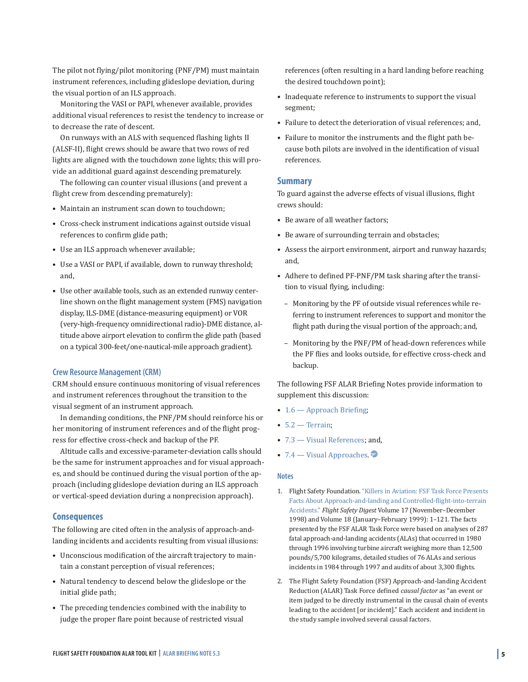The pilot not flying/pilot monitoring (PNF/PM) must maintain instrument references, including glideslope deviation, during the visual portion of an ILS approach.

Monitoring the VASI or PAPI, whenever available, provides additional visual references to resist the tendency to increase or to decrease the rate of descent.

On runways with an ALS with sequenced flashing lights II (ALSF-II), flight crews should be aware that two rows of red lights are aligned with the touchdown zone lights; this will provide an additional guard against descending prematurely.

The following can counter visual illusions (and prevent a flight crew from descending prematurely):

- Maintain an instrument scan down to touchdown;
- • Cross-check instrument indications against outside visual references to confirm glide path;
- Use an ILS approach whenever available;
- Use a VASI or PAPI, if available, down to runway threshold; and,
- Use other available tools, such as an extended runway centerline shown on the flight management system (FMS) navigation display, ILS-DME (distance-measuring equipment) or VOR (very-high-frequency omnidirectional radio)-DME distance, altitude above airport elevation to confirm the glide path (based on a typical 300-feet/one-nautical-mile approach gradient).

#### **Crew Resource Management (CRM)**

CRM should ensure continuous monitoring of visual references and instrument references throughout the transition to the visual segment of an instrument approach.

In demanding conditions, the PNF/PM should reinforce his or her monitoring of instrument references and of the flight progress for effective cross-check and backup of the PF.

Altitude calls and excessive-parameter-deviation calls should be the same for instrument approaches and for visual approaches, and should be continued during the visual portion of the approach (including glideslope deviation during an ILS approach or vertical-speed deviation during a nonprecision approach).

#### **Consequences**

The following are cited often in the analysis of approach-andlanding incidents and accidents resulting from visual illusions:

- Unconscious modification of the aircraft trajectory to maintain a constant perception of visual references;
- • Natural tendency to descend below the glideslope or the initial glide path;
- The preceding tendencies combined with the inability to judge the proper flare point because of restricted visual

references (often resulting in a hard landing before reaching the desired touchdown point);

- Inadequate reference to instruments to support the visual segment;
- Failure to detect the deterioration of visual references; and,
- Failure to monitor the instruments and the flight path because both pilots are involved in the identification of visual references.

#### **Summary**

To guard against the adverse effects of visual illusions, flight crews should:

- Be aware of all weather factors;
- Be aware of surrounding terrain and obstacles;
- Assess the airport environment, airport and runway hazards; and,
- Adhere to defined PF-PNF/PM task sharing after the transition to visual flying, including:
	- Monitoring by the PF of outside visual references while referring to instrument references to support and monitor the flight path during the visual portion of the approach; and,
	- Monitoring by the PNF/PM of head-down references while the PF flies and looks outside, for effective cross-check and backup.

The following FSF ALAR Briefing Notes provide information to supplement this discussion:

- 1.6 [Approach](#page-0-0) Briefing;
- $\bullet$  [5.2 Terrain](#page-0-0);
- [7.3 Visual References](#page-0-0); and,
- $7.4$  Visual Approaches.

#### **Notes**

- 1. Flight Safety Foundation. "Killers in Aviation: FSF Task Force Presents Facts About Approach-and-landing and Controlled-flight-into-terrain Accidents." *Flight Safety Digest* [Volume 17 \(November–December](#page-0-0)  1998) and Volume 18 (January–February 1999): 1–121. The facts presented by the FSF ALAR Task Force were based on analyses of 287 fatal approach-and-landing accidents (ALAs) that occurred in 1980 through 1996 involving turbine aircraft weighing more than 12,500 pounds/5,700 kilograms, detailed studies of 76 ALAs and serious incidents in 1984 through 1997 and audits of about 3,300 flights.
- 2. The Flight Safety Foundation (FSF) Approach-and-landing Accident Reduction (ALAR) Task Force defined *causal factor* as "an event or item judged to be directly instrumental in the causal chain of events leading to the accident [or incident]." Each accident and incident in the study sample involved several causal factors.